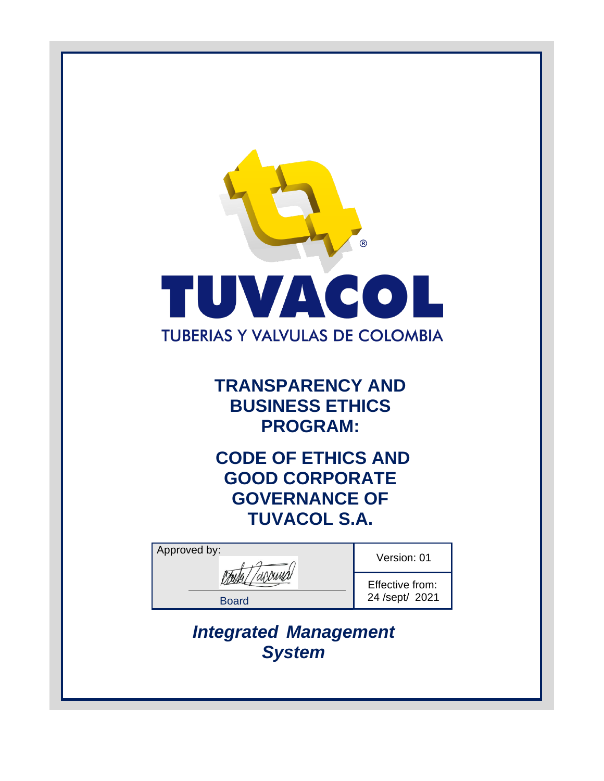

**TRANSPARENCY AND BUSINESS ETHICS PROGRAM:**

**CODE OF ETHICS AND GOOD CORPORATE GOVERNANCE OF TUVACOL S.A.**

| Approved by: | Version: 01     |
|--------------|-----------------|
|              |                 |
|              | Effective from: |
| <b>Board</b> | 24 /sept/ 2021  |
|              |                 |

*Integrated Management System*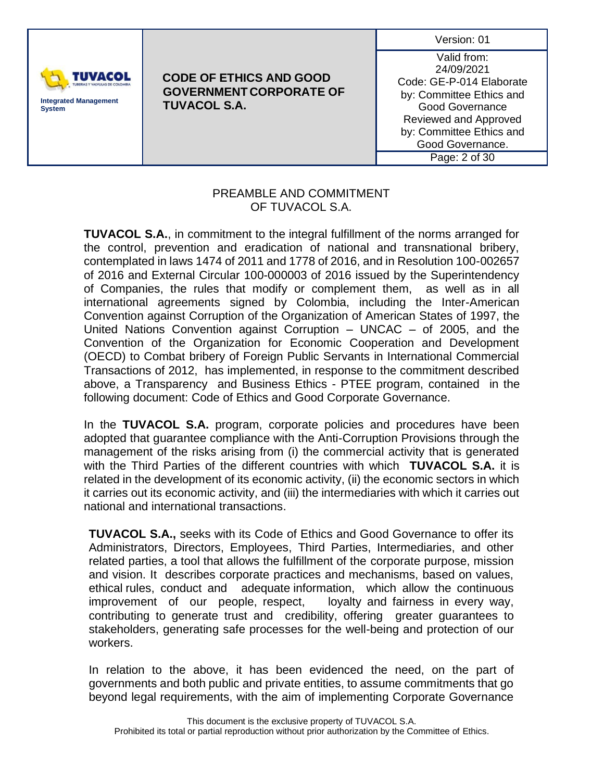| Version: 01 |  |
|-------------|--|
|             |  |



Valid from: 24/09/2021 Code: GE-P-014 Elaborate by: Committee Ethics and Good Governance Reviewed and Approved by: Committee Ethics and Good Governance. Page: 2 of 30

#### PREAMBLE AND COMMITMENT OF TUVACOL S.A.

**TUVACOL S.A.**, in commitment to the integral fulfillment of the norms arranged for the control, prevention and eradication of national and transnational bribery, contemplated in laws 1474 of 2011 and 1778 of 2016, and in Resolution 100-002657 of 2016 and External Circular 100-000003 of 2016 issued by the Superintendency of Companies, the rules that modify or complement them, as well as in all international agreements signed by Colombia, including the Inter-American Convention against Corruption of the Organization of American States of 1997, the United Nations Convention against Corruption – UNCAC – of 2005, and the Convention of the Organization for Economic Cooperation and Development (OECD) to Combat bribery of Foreign Public Servants in International Commercial Transactions of 2012, has implemented, in response to the commitment described above, a Transparency and Business Ethics - PTEE program, contained in the following document: Code of Ethics and Good Corporate Governance.

In the **TUVACOL S.A.** program, corporate policies and procedures have been adopted that guarantee compliance with the Anti-Corruption Provisions through the management of the risks arising from (i) the commercial activity that is generated with the Third Parties of the different countries with which **TUVACOL S.A.** it is related in the development of its economic activity, (ii) the economic sectors in which it carries out its economic activity, and (iii) the intermediaries with which it carries out national and international transactions.

**TUVACOL S.A.,** seeks with its Code of Ethics and Good Governance to offer its Administrators, Directors, Employees, Third Parties, Intermediaries, and other related parties, a tool that allows the fulfillment of the corporate purpose, mission and vision. It describes corporate practices and mechanisms, based on values, ethical rules, conduct and adequate information, which allow the continuous improvement of our people, respect, loyalty and fairness in every way, contributing to generate trust and credibility, offering greater guarantees to stakeholders, generating safe processes for the well-being and protection of our workers.

In relation to the above, it has been evidenced the need, on the part of governments and both public and private entities, to assume commitments that go beyond legal requirements, with the aim of implementing Corporate Governance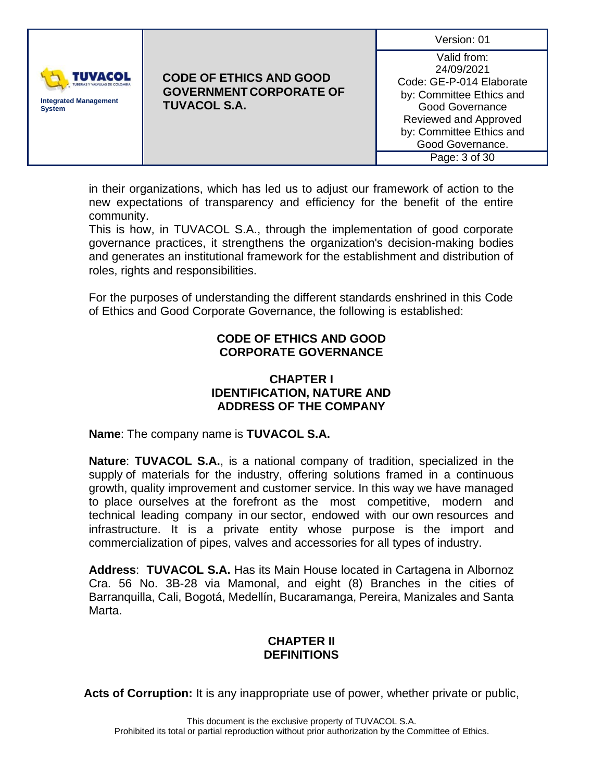| Version: 01 |  |
|-------------|--|
|             |  |



Valid from: 24/09/2021 Code: GE-P-014 Elaborate by: Committee Ethics and Good Governance Reviewed and Approved by: Committee Ethics and Good Governance. Page: 3 of 30

in their organizations, which has led us to adjust our framework of action to the new expectations of transparency and efficiency for the benefit of the entire community.

This is how, in TUVACOL S.A., through the implementation of good corporate governance practices, it strengthens the organization's decision-making bodies and generates an institutional framework for the establishment and distribution of roles, rights and responsibilities.

For the purposes of understanding the different standards enshrined in this Code of Ethics and Good Corporate Governance, the following is established:

### **CODE OF ETHICS AND GOOD CORPORATE GOVERNANCE**

#### **CHAPTER I IDENTIFICATION, NATURE AND ADDRESS OF THE COMPANY**

**Name**: The company name is **TUVACOL S.A.**

**Nature**: **TUVACOL S.A.**, is a national company of tradition, specialized in the supply of materials for the industry, offering solutions framed in a continuous growth, quality improvement and customer service. In this way we have managed to place ourselves at the forefront as the most competitive, modern and technical leading company in our sector, endowed with our own resources and infrastructure. It is a private entity whose purpose is the import and commercialization of pipes, valves and accessories for all types of industry.

**Address**: **TUVACOL S.A.** Has its Main House located in Cartagena in Albornoz Cra. 56 No. 3B-28 via Mamonal, and eight (8) Branches in the cities of Barranquilla, Cali, Bogotá, Medellín, Bucaramanga, Pereira, Manizales and Santa Marta.

# **CHAPTER II DEFINITIONS**

**Acts of Corruption:** It is any inappropriate use of power, whether private or public,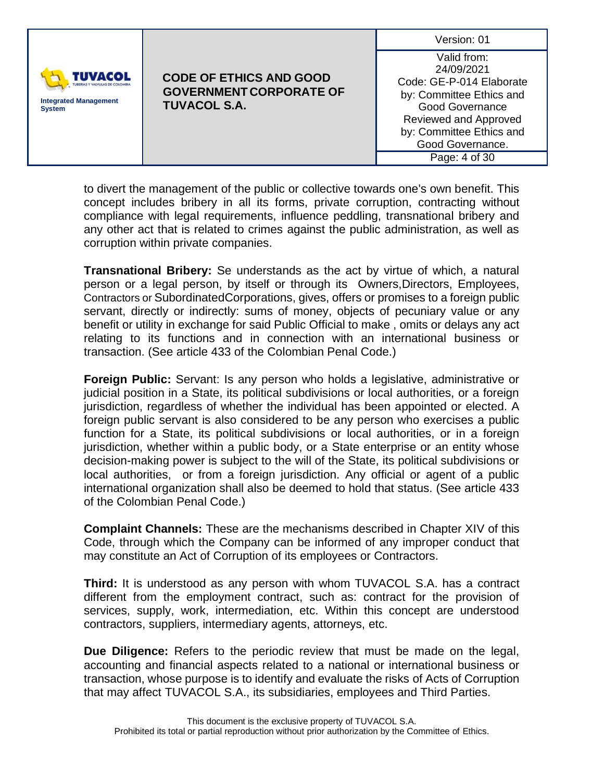|                                                                 |                                                                                         | Version: 01                                                                                                                                                                                           |
|-----------------------------------------------------------------|-----------------------------------------------------------------------------------------|-------------------------------------------------------------------------------------------------------------------------------------------------------------------------------------------------------|
| <b>TUVACOL</b><br><b>Integrated Management</b><br><b>System</b> | <b>CODE OF ETHICS AND GOOD</b><br><b>GOVERNMENT CORPORATE OF</b><br><b>TUVACOL S.A.</b> | Valid from:<br>24/09/2021<br>Code: GE-P-014 Elaborate<br>by: Committee Ethics and<br><b>Good Governance</b><br>Reviewed and Approved<br>by: Committee Ethics and<br>Good Governance.<br>Page: 4 of 30 |

to divert the management of the public or collective towards one's own benefit. This concept includes bribery in all its forms, private corruption, contracting without compliance with legal requirements, influence peddling, transnational bribery and any other act that is related to crimes against the public administration, as well as corruption within private companies.

**Transnational Bribery:** Se understands as the act by virtue of which, a natural person or a legal person, by itself or through its Owners,Directors, Employees, Contractors or SubordinatedCorporations, gives, offers or promises to a foreign public servant, directly or indirectly: sums of money, objects of pecuniary value or any benefit or utility in exchange for said Public Official to make , omits or delays any act relating to its functions and in connection with an international business or transaction. (See article 433 of the Colombian Penal Code.)

**Foreign Public:** Servant: Is any person who holds a legislative, administrative or judicial position in a State, its political subdivisions or local authorities, or a foreign jurisdiction, regardless of whether the individual has been appointed or elected. A foreign public servant is also considered to be any person who exercises a public function for a State, its political subdivisions or local authorities, or in a foreign jurisdiction, whether within a public body, or a State enterprise or an entity whose decision-making power is subject to the will of the State, its political subdivisions or local authorities, or from a foreign jurisdiction. Any official or agent of a public international organization shall also be deemed to hold that status. (See article 433 of the Colombian Penal Code.)

**Complaint Channels:** These are the mechanisms described in Chapter XIV of this Code, through which the Company can be informed of any improper conduct that may constitute an Act of Corruption of its employees or Contractors.

**Third:** It is understood as any person with whom TUVACOL S.A. has a contract different from the employment contract, such as: contract for the provision of services, supply, work, intermediation, etc. Within this concept are understood contractors, suppliers, intermediary agents, attorneys, etc.

**Due Diligence:** Refers to the periodic review that must be made on the legal, accounting and financial aspects related to a national or international business or transaction, whose purpose is to identify and evaluate the risks of Acts of Corruption that may affect TUVACOL S.A., its subsidiaries, employees and Third Parties.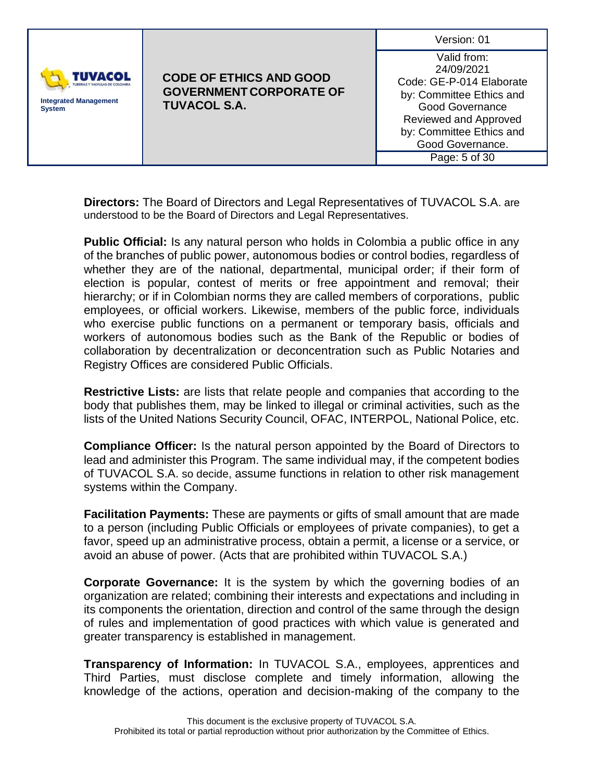|                                                          |                                                                                         | Version: 01                                                                                                                                                                                           |
|----------------------------------------------------------|-----------------------------------------------------------------------------------------|-------------------------------------------------------------------------------------------------------------------------------------------------------------------------------------------------------|
| TUVACOL<br><b>Integrated Management</b><br><b>System</b> | <b>CODE OF ETHICS AND GOOD</b><br><b>GOVERNMENT CORPORATE OF</b><br><b>TUVACOL S.A.</b> | Valid from:<br>24/09/2021<br>Code: GE-P-014 Elaborate<br>by: Committee Ethics and<br><b>Good Governance</b><br>Reviewed and Approved<br>by: Committee Ethics and<br>Good Governance.<br>Page: 5 of 30 |

**Directors:** The Board of Directors and Legal Representatives of TUVACOL S.A. are understood to be the Board of Directors and Legal Representatives.

**Public Official:** Is any natural person who holds in Colombia a public office in any of the branches of public power, autonomous bodies or control bodies, regardless of whether they are of the national, departmental, municipal order; if their form of election is popular, contest of merits or free appointment and removal; their hierarchy; or if in Colombian norms they are called members of corporations, public employees, or official workers. Likewise, members of the public force, individuals who exercise public functions on a permanent or temporary basis, officials and workers of autonomous bodies such as the Bank of the Republic or bodies of collaboration by decentralization or deconcentration such as Public Notaries and Registry Offices are considered Public Officials.

**Restrictive Lists:** are lists that relate people and companies that according to the body that publishes them, may be linked to illegal or criminal activities, such as the lists of the United Nations Security Council, OFAC, INTERPOL, National Police, etc.

**Compliance Officer:** Is the natural person appointed by the Board of Directors to lead and administer this Program. The same individual may, if the competent bodies of TUVACOL S.A. so decide, assume functions in relation to other risk management systems within the Company.

**Facilitation Payments:** These are payments or gifts of small amount that are made to a person (including Public Officials or employees of private companies), to get a favor, speed up an administrative process, obtain a permit, a license or a service, or avoid an abuse of power. (Acts that are prohibited within TUVACOL S.A.)

**Corporate Governance:** It is the system by which the governing bodies of an organization are related; combining their interests and expectations and including in its components the orientation, direction and control of the same through the design of rules and implementation of good practices with which value is generated and greater transparency is established in management.

**Transparency of Information:** In TUVACOL S.A., employees, apprentices and Third Parties, must disclose complete and timely information, allowing the knowledge of the actions, operation and decision-making of the company to the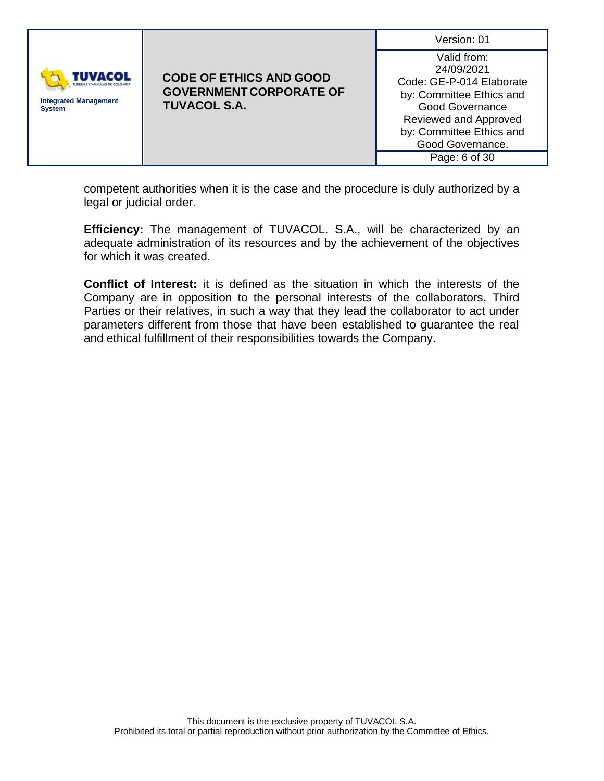| <b>TUVACOL</b><br><b>Integrated Management</b> | <b>CODE OF ETHICS AND GOOD</b><br><b>GOVERNMENT CORPORATE OF</b><br><b>TUVACOL S.A.</b> | Version: 01<br>Valid from:<br>24/09/2021<br>Code: GE-P-014 Elaborate<br>by: Committee Ethics and<br><b>Good Governance</b> |
|------------------------------------------------|-----------------------------------------------------------------------------------------|----------------------------------------------------------------------------------------------------------------------------|
| <b>System</b>                                  | Reviewed and Approved<br>by: Committee Ethics and<br>Good Governance.<br>Page: 6 of 30  |                                                                                                                            |

competent authorities when it is the case and the procedure is duly authorized by a legal or judicial order.

**Efficiency:** The management of TUVACOL. S.A., will be characterized by an adequate administration of its resources and by the achievement of the objectives for which it was created.

**Conflict of Interest:** it is defined as the situation in which the interests of the Company are in opposition to the personal interests of the collaborators, Third Parties or their relatives, in such a way that they lead the collaborator to act under parameters different from those that have been established to guarantee the real and ethical fulfillment of their responsibilities towards the Company.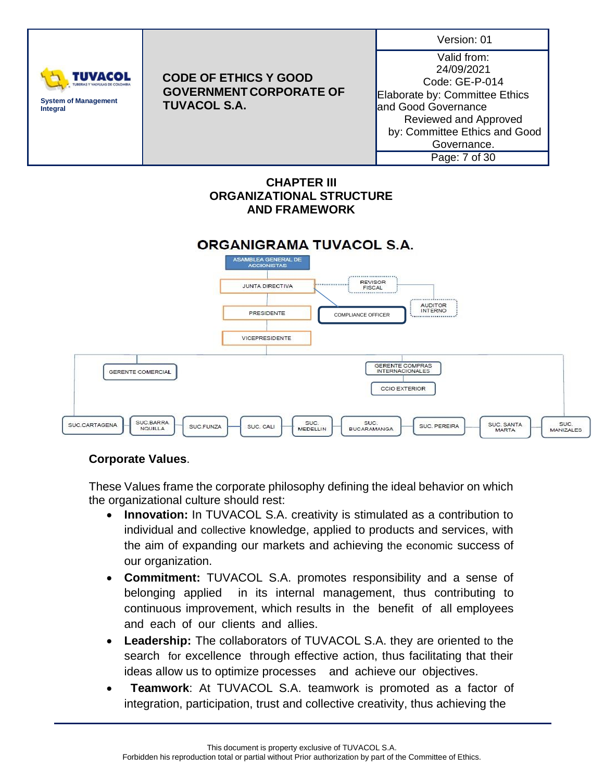

### **CHAPTER III ORGANIZATIONAL STRUCTURE AND FRAMEWORK**

### ORGANIGRAMA TUVACOL S.A.



# **Corporate Values**.

These Values frame the corporate philosophy defining the ideal behavior on which the organizational culture should rest:

- **Innovation:** In TUVACOL S.A. creativity is stimulated as a contribution to individual and collective knowledge, applied to products and services, with the aim of expanding our markets and achieving the economic success of our organization.
- **Commitment:** TUVACOL S.A. promotes responsibility and a sense of belonging applied in its internal management, thus contributing to continuous improvement, which results in the benefit of all employees and each of our clients and allies.
- **Leadership:** The collaborators of TUVACOL S.A. they are oriented to the search for excellence through effective action, thus facilitating that their ideas allow us to optimize processes and achieve our objectives.
- **Teamwork**: At TUVACOL S.A. teamwork is promoted as a factor of integration, participation, trust and collective creativity, thus achieving the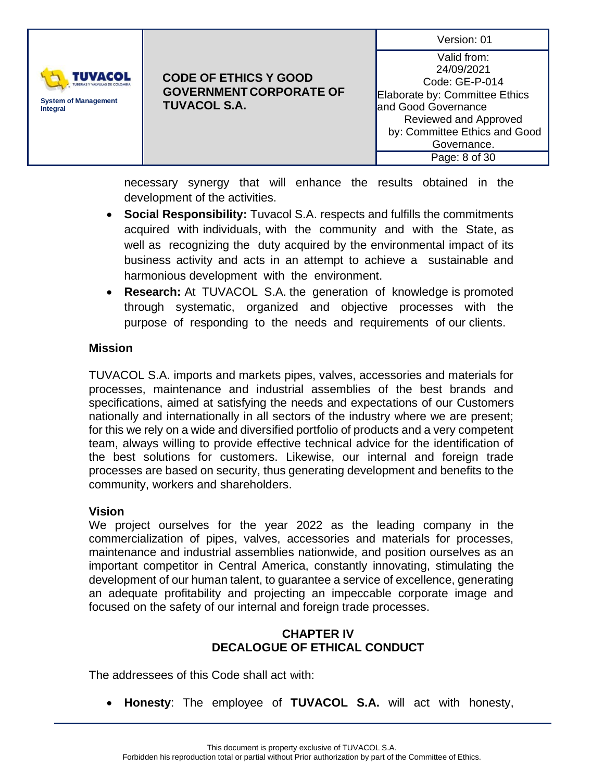| Version: 01 |  |
|-------------|--|
|             |  |



Valid from: 24/09/2021 Code: GE-P-014 Elaborate by: Committee Ethics and Good Governance Reviewed and Approved by: Committee Ethics and Good Governance. Page: 8 of 30

necessary synergy that will enhance the results obtained in the development of the activities.

- **Social Responsibility:** Tuvacol S.A. respects and fulfills the commitments acquired with individuals, with the community and with the State, as well as recognizing the duty acquired by the environmental impact of its business activity and acts in an attempt to achieve a sustainable and harmonious development with the environment.
- **Research:** At TUVACOL S.A. the generation of knowledge is promoted through systematic, organized and objective processes with the purpose of responding to the needs and requirements of our clients.

### **Mission**

TUVACOL S.A. imports and markets pipes, valves, accessories and materials for processes, maintenance and industrial assemblies of the best brands and specifications, aimed at satisfying the needs and expectations of our Customers nationally and internationally in all sectors of the industry where we are present; for this we rely on a wide and diversified portfolio of products and a very competent team, always willing to provide effective technical advice for the identification of the best solutions for customers. Likewise, our internal and foreign trade processes are based on security, thus generating development and benefits to the community, workers and shareholders.

#### **Vision**

We project ourselves for the year 2022 as the leading company in the commercialization of pipes, valves, accessories and materials for processes, maintenance and industrial assemblies nationwide, and position ourselves as an important competitor in Central America, constantly innovating, stimulating the development of our human talent, to guarantee a service of excellence, generating an adequate profitability and projecting an impeccable corporate image and focused on the safety of our internal and foreign trade processes.

# **CHAPTER IV DECALOGUE OF ETHICAL CONDUCT**

The addressees of this Code shall act with:

• **Honesty**: The employee of **TUVACOL S.A.** will act with honesty,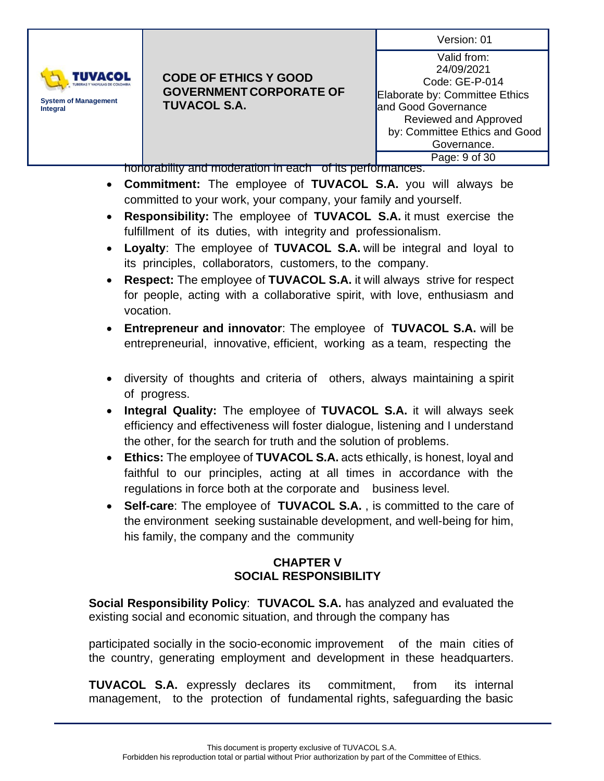

#### **CODE OF ETHICS Y GOOD GOVERNMENT CORPORATE OF TUVACOL S.A.**

Valid from: 24/09/2021 Code: GE-P-014 Elaborate by: Committee Ethics and Good Governance Reviewed and Approved by: Committee Ethics and Good Governance. Page: 9 of 30

honorability and moderation in each of its performances.

- **Commitment:** The employee of **TUVACOL S.A.** you will always be committed to your work, your company, your family and yourself.
- **Responsibility:** The employee of **TUVACOL S.A.** it must exercise the fulfillment of its duties, with integrity and professionalism.
- **Loyalty**: The employee of **TUVACOL S.A.** will be integral and loyal to its principles, collaborators, customers, to the company.
- **Respect:** The employee of **TUVACOL S.A.** it will always strive for respect for people, acting with a collaborative spirit, with love, enthusiasm and vocation.
- **Entrepreneur and innovator**: The employee of **TUVACOL S.A.** will be entrepreneurial, innovative, efficient, working as a team, respecting the
- diversity of thoughts and criteria of others, always maintaining a spirit of progress.
- **Integral Quality:** The employee of **TUVACOL S.A.** it will always seek efficiency and effectiveness will foster dialogue, listening and I understand the other, for the search for truth and the solution of problems.
- **Ethics:** The employee of **TUVACOL S.A.** acts ethically, is honest, loyal and faithful to our principles, acting at all times in accordance with the regulations in force both at the corporate and business level.
- **Self-care**: The employee of **TUVACOL S.A.** , is committed to the care of the environment seeking sustainable development, and well-being for him, his family, the company and the community

# **CHAPTER V SOCIAL RESPONSIBILITY**

**Social Responsibility Policy**: **TUVACOL S.A.** has analyzed and evaluated the existing social and economic situation, and through the company has

participated socially in the socio-economic improvement of the main cities of the country, generating employment and development in these headquarters.

**TUVACOL S.A.** expressly declares its commitment, from its internal management, to the protection of fundamental rights, safeguarding the basic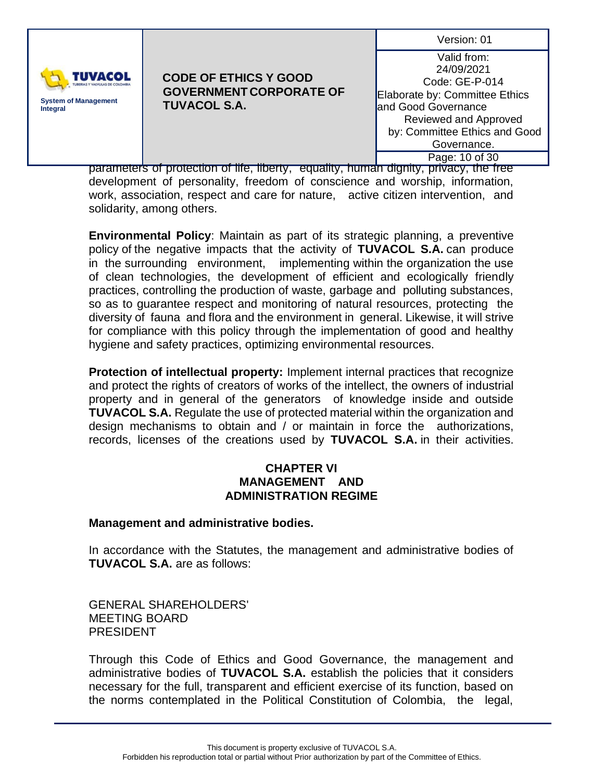

### **CODE OF ETHICS Y GOOD GOVERNMENT CORPORATE OF TUVACOL S.A.**

Valid from: 24/09/2021 Code: GE-P-014 Elaborate by: Committee Ethics and Good Governance Reviewed and Approved by: Committee Ethics and Good Governance. Page: 10 of 30

parameters of protection of life, liberty, equality, human dignity, privacy, the free development of personality, freedom of conscience and worship, information, work, association, respect and care for nature, active citizen intervention, and solidarity, among others.

**Environmental Policy**: Maintain as part of its strategic planning, a preventive policy of the negative impacts that the activity of **TUVACOL S.A.** can produce in the surrounding environment, implementing within the organization the use of clean technologies, the development of efficient and ecologically friendly practices, controlling the production of waste, garbage and polluting substances, so as to guarantee respect and monitoring of natural resources, protecting the diversity of fauna and flora and the environment in general. Likewise, it will strive for compliance with this policy through the implementation of good and healthy hygiene and safety practices, optimizing environmental resources.

**Protection of intellectual property:** Implement internal practices that recognize and protect the rights of creators of works of the intellect, the owners of industrial property and in general of the generators of knowledge inside and outside **TUVACOL S.A.** Regulate the use of protected material within the organization and design mechanisms to obtain and / or maintain in force the authorizations, records, licenses of the creations used by **TUVACOL S.A.** in their activities.

#### **CHAPTER VI MANAGEMENT AND ADMINISTRATION REGIME**

# **Management and administrative bodies.**

In accordance with the Statutes, the management and administrative bodies of **TUVACOL S.A.** are as follows:

GENERAL SHAREHOLDERS' MEETING BOARD PRESIDENT

Through this Code of Ethics and Good Governance, the management and administrative bodies of **TUVACOL S.A.** establish the policies that it considers necessary for the full, transparent and efficient exercise of its function, based on the norms contemplated in the Political Constitution of Colombia, the legal,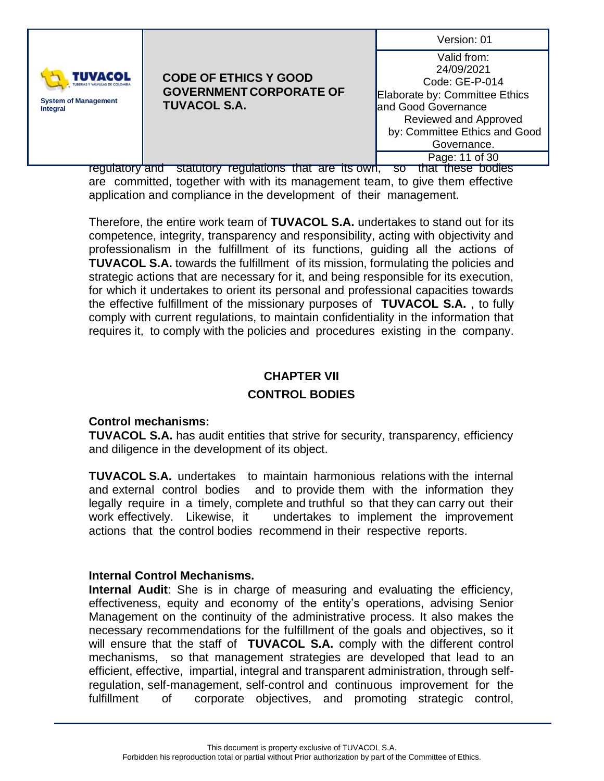| TUVACOL<br><b>System of Management</b><br><b>TUVACOL S.A.</b><br>Integral | <b>CODE OF ETHICS Y GOOD</b><br><b>GOVERNMENT CORPORATE OF</b> | Version: 01<br>Valid from:<br>24/09/2021<br>Code: GE-P-014<br>Elaborate by: Committee Ethics<br>and Good Governance |
|---------------------------------------------------------------------------|----------------------------------------------------------------|---------------------------------------------------------------------------------------------------------------------|
|                                                                           |                                                                | Reviewed and Approved<br>by: Committee Ethics and Good<br>Governance.<br>Page: 11 of 30                             |

regulatory and statutory regulations that are its own, so that these bodies are committed, together with with its management team, to give them effective application and compliance in the development of their management.

Therefore, the entire work team of **TUVACOL S.A.** undertakes to stand out for its competence, integrity, transparency and responsibility, acting with objectivity and professionalism in the fulfillment of its functions, guiding all the actions of **TUVACOL S.A.** towards the fulfillment of its mission, formulating the policies and strategic actions that are necessary for it, and being responsible for its execution, for which it undertakes to orient its personal and professional capacities towards the effective fulfillment of the missionary purposes of **TUVACOL S.A.** , to fully comply with current regulations, to maintain confidentiality in the information that requires it, to comply with the policies and procedures existing in the company.

# **CHAPTER VII CONTROL BODIES**

# **Control mechanisms:**

**TUVACOL S.A.** has audit entities that strive for security, transparency, efficiency and diligence in the development of its object.

**TUVACOL S.A.** undertakes to maintain harmonious relations with the internal and external control bodies and to provide them with the information they legally require in a timely, complete and truthful so that they can carry out their work effectively. Likewise, it undertakes to implement the improvement actions that the control bodies recommend in their respective reports.

#### **Internal Control Mechanisms.**

**Internal Audit**: She is in charge of measuring and evaluating the efficiency, effectiveness, equity and economy of the entity's operations, advising Senior Management on the continuity of the administrative process. It also makes the necessary recommendations for the fulfillment of the goals and objectives, so it will ensure that the staff of **TUVACOL S.A.** comply with the different control mechanisms, so that management strategies are developed that lead to an efficient, effective, impartial, integral and transparent administration, through selfregulation, self-management, self-control and continuous improvement for the fulfillment of corporate objectives, and promoting strategic control,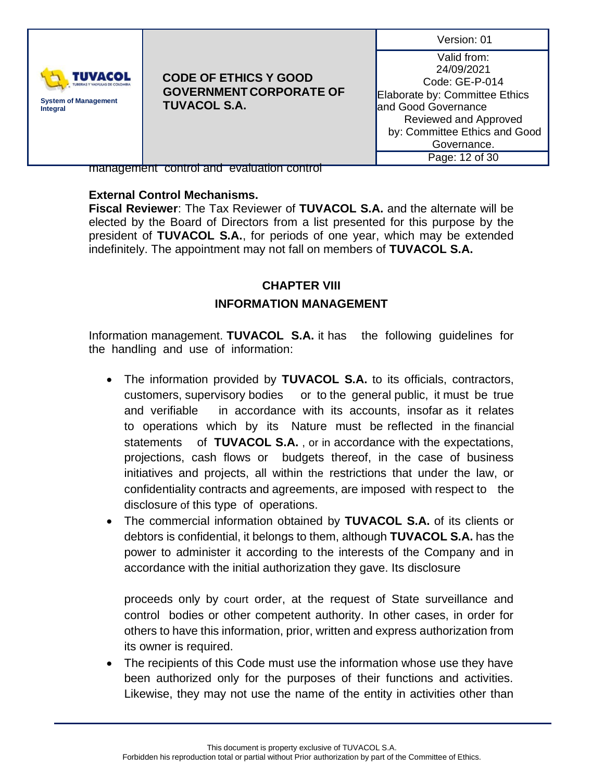| Version: 01 |  |
|-------------|--|
|             |  |



Valid from: 24/09/2021 Code: GE-P-014 Elaborate by: Committee Ethics and Good Governance Reviewed and Approved by: Committee Ethics and Good Governance. Page: 12 of 30

management control and evaluation control

# **External Control Mechanisms.**

**Fiscal Reviewer**: The Tax Reviewer of **TUVACOL S.A.** and the alternate will be elected by the Board of Directors from a list presented for this purpose by the president of **TUVACOL S.A.**, for periods of one year, which may be extended indefinitely. The appointment may not fall on members of **TUVACOL S.A.**

# **CHAPTER VIII INFORMATION MANAGEMENT**

Information management. **TUVACOL S.A.** it has the following guidelines for the handling and use of information:

- The information provided by **TUVACOL S.A.** to its officials, contractors, customers, supervisory bodies or to the general public, it must be true and verifiable in accordance with its accounts, insofar as it relates to operations which by its Nature must be reflected in the financial statements of **TUVACOL S.A.** , or in accordance with the expectations, projections, cash flows or budgets thereof, in the case of business initiatives and projects, all within the restrictions that under the law, or confidentiality contracts and agreements, are imposed with respect to the disclosure of this type of operations.
- The commercial information obtained by **TUVACOL S.A.** of its clients or debtors is confidential, it belongs to them, although **TUVACOL S.A.** has the power to administer it according to the interests of the Company and in accordance with the initial authorization they gave. Its disclosure

proceeds only by court order, at the request of State surveillance and control bodies or other competent authority. In other cases, in order for others to have this information, prior, written and express authorization from its owner is required.

• The recipients of this Code must use the information whose use they have been authorized only for the purposes of their functions and activities. Likewise, they may not use the name of the entity in activities other than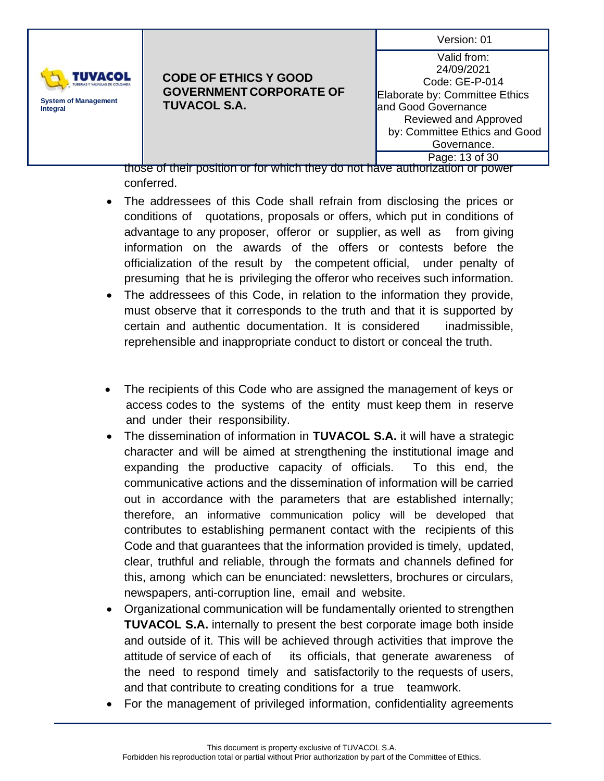| Version: 01 |  |
|-------------|--|
|             |  |



Valid from: 24/09/2021 Code: GE-P-014 Elaborate by: Committee Ethics and Good Governance Reviewed and Approved by: Committee Ethics and Good Governance. Page: 13 of 30

those of their position or for which they do not have authorization or power conferred.

- The addressees of this Code shall refrain from disclosing the prices or conditions of quotations, proposals or offers, which put in conditions of advantage to any proposer, offeror or supplier, as well as from giving information on the awards of the offers or contests before the officialization of the result by the competent official, under penalty of presuming that he is privileging the offeror who receives such information.
- The addressees of this Code, in relation to the information they provide, must observe that it corresponds to the truth and that it is supported by certain and authentic documentation. It is considered inadmissible, reprehensible and inappropriate conduct to distort or conceal the truth.
- The recipients of this Code who are assigned the management of keys or access codes to the systems of the entity must keep them in reserve and under their responsibility.
- The dissemination of information in **TUVACOL S.A.** it will have a strategic character and will be aimed at strengthening the institutional image and expanding the productive capacity of officials. To this end, the communicative actions and the dissemination of information will be carried out in accordance with the parameters that are established internally; therefore, an informative communication policy will be developed that contributes to establishing permanent contact with the recipients of this Code and that guarantees that the information provided is timely, updated, clear, truthful and reliable, through the formats and channels defined for this, among which can be enunciated: newsletters, brochures or circulars, newspapers, anti-corruption line, email and website.
- Organizational communication will be fundamentally oriented to strengthen **TUVACOL S.A.** internally to present the best corporate image both inside and outside of it. This will be achieved through activities that improve the attitude of service of each of its officials, that generate awareness of the need to respond timely and satisfactorily to the requests of users, and that contribute to creating conditions for a true teamwork.
- For the management of privileged information, confidentiality agreements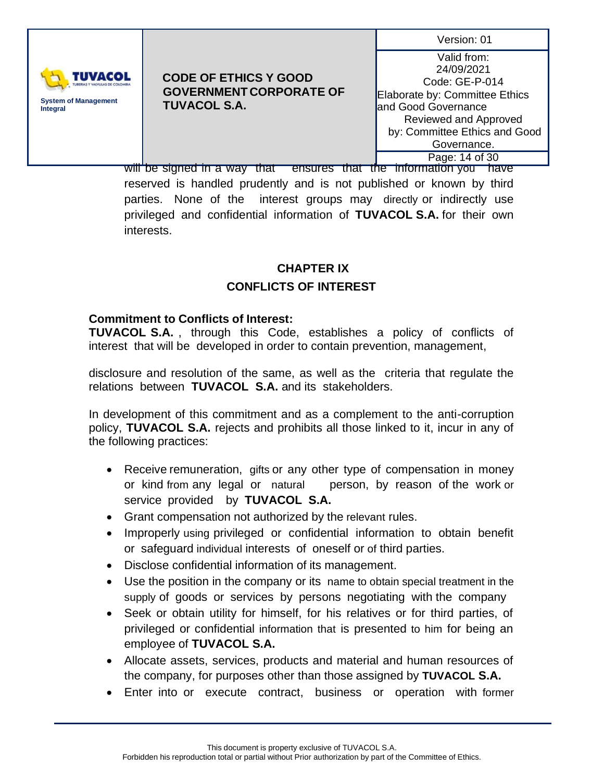

#### **CODE OF ETHICS Y GOOD GOVERNMENT CORPORATE OF TUVACOL S.A.**

Valid from: 24/09/2021 Code: GE-P-014 Elaborate by: Committee Ethics and Good Governance Reviewed and Approved by: Committee Ethics and Good Governance. Page: 14 of 30

will be signed in a way that ensures that the information you have reserved is handled prudently and is not published or known by third parties. None of the interest groups may directly or indirectly use privileged and confidential information of **TUVACOL S.A.** for their own interests.

# **CHAPTER IX CONFLICTS OF INTEREST**

# **Commitment to Conflicts of Interest:**

**TUVACOL S.A.** , through this Code, establishes a policy of conflicts of interest that will be developed in order to contain prevention, management,

disclosure and resolution of the same, as well as the criteria that regulate the relations between **TUVACOL S.A.** and its stakeholders.

In development of this commitment and as a complement to the anti-corruption policy, **TUVACOL S.A.** rejects and prohibits all those linked to it, incur in any of the following practices:

- Receive remuneration, gifts or any other type of compensation in money or kind from any legal or natural person, by reason of the work or service provided by **TUVACOL S.A.**
- Grant compensation not authorized by the relevant rules.
- Improperly using privileged or confidential information to obtain benefit or safeguard individual interests of oneself or of third parties.
- Disclose confidential information of its management.
- Use the position in the company or its name to obtain special treatment in the supply of goods or services by persons negotiating with the company
- Seek or obtain utility for himself, for his relatives or for third parties, of privileged or confidential information that is presented to him for being an employee of **TUVACOL S.A.**
- Allocate assets, services, products and material and human resources of the company, for purposes other than those assigned by **TUVACOL S.A.**
- Enter into or execute contract, business or operation with former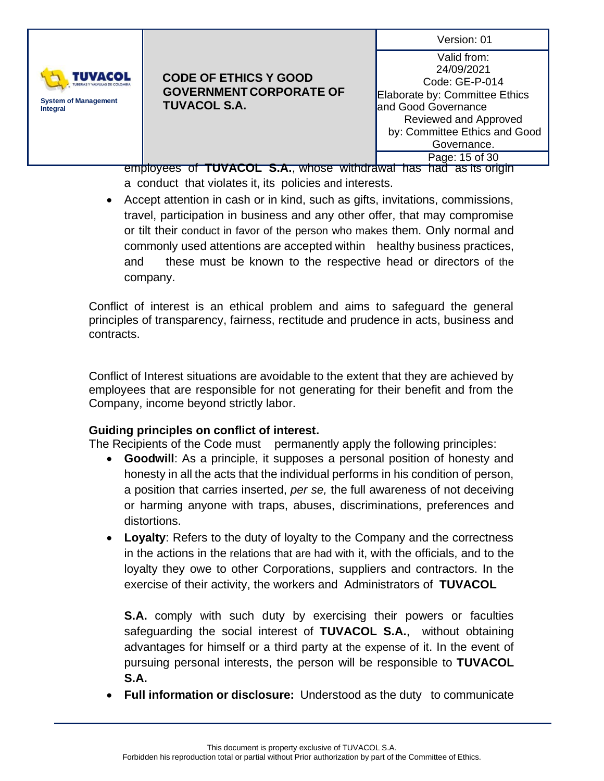

### **CODE OF ETHICS Y GOOD GOVERNMENT CORPORATE OF TUVACOL S.A.**

Valid from: 24/09/2021 Code: GE-P-014 Elaborate by: Committee Ethics and Good Governance Reviewed and Approved by: Committee Ethics and Good Governance. Page: 15 of 30

employees of **TUVACOL S.A.**, whose withdrawal has had as its origin a conduct that violates it, its policies and interests.

• Accept attention in cash or in kind, such as gifts, invitations, commissions, travel, participation in business and any other offer, that may compromise or tilt their conduct in favor of the person who makes them. Only normal and commonly used attentions are accepted within healthy business practices, and these must be known to the respective head or directors of the company.

Conflict of interest is an ethical problem and aims to safeguard the general principles of transparency, fairness, rectitude and prudence in acts, business and contracts.

Conflict of Interest situations are avoidable to the extent that they are achieved by employees that are responsible for not generating for their benefit and from the Company, income beyond strictly labor.

# **Guiding principles on conflict of interest.**

The Recipients of the Code must permanently apply the following principles:

- **Goodwill**: As a principle, it supposes a personal position of honesty and honesty in all the acts that the individual performs in his condition of person, a position that carries inserted, *per se,* the full awareness of not deceiving or harming anyone with traps, abuses, discriminations, preferences and distortions.
- **Loyalty**: Refers to the duty of loyalty to the Company and the correctness in the actions in the relations that are had with it, with the officials, and to the loyalty they owe to other Corporations, suppliers and contractors. In the exercise of their activity, the workers and Administrators of **TUVACOL**

**S.A.** comply with such duty by exercising their powers or faculties safeguarding the social interest of **TUVACOL S.A.**, without obtaining advantages for himself or a third party at the expense of it. In the event of pursuing personal interests, the person will be responsible to **TUVACOL S.A.**

• **Full information or disclosure:** Understood as the duty to communicate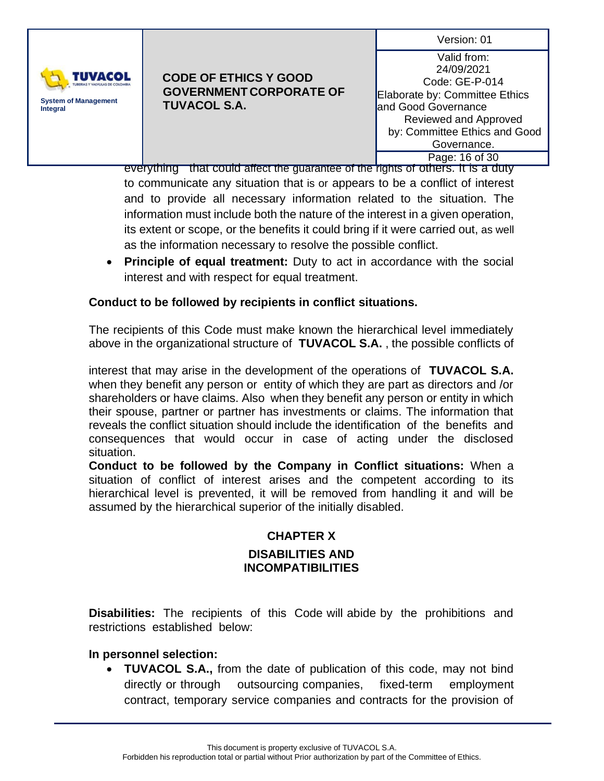

### **CODE OF ETHICS Y GOOD GOVERNMENT CORPORATE OF TUVACOL S.A.**

Valid from: 24/09/2021 Code: GE-P-014 Elaborate by: Committee Ethics and Good Governance Reviewed and Approved by: Committee Ethics and Good Governance. Page: 16 of 30

everything that could affect the guarantee of the rights of others. It is a duty to communicate any situation that is or appears to be a conflict of interest and to provide all necessary information related to the situation. The information must include both the nature of the interest in a given operation, its extent or scope, or the benefits it could bring if it were carried out, as well as the information necessary to resolve the possible conflict.

• **Principle of equal treatment:** Duty to act in accordance with the social interest and with respect for equal treatment.

# **Conduct to be followed by recipients in conflict situations.**

The recipients of this Code must make known the hierarchical level immediately above in the organizational structure of **TUVACOL S.A.** , the possible conflicts of

interest that may arise in the development of the operations of **TUVACOL S.A.** when they benefit any person or entity of which they are part as directors and /or shareholders or have claims. Also when they benefit any person or entity in which their spouse, partner or partner has investments or claims. The information that reveals the conflict situation should include the identification of the benefits and consequences that would occur in case of acting under the disclosed situation.

**Conduct to be followed by the Company in Conflict situations:** When a situation of conflict of interest arises and the competent according to its hierarchical level is prevented, it will be removed from handling it and will be assumed by the hierarchical superior of the initially disabled.

# **CHAPTER X DISABILITIES AND INCOMPATIBILITIES**

**Disabilities:** The recipients of this Code will abide by the prohibitions and restrictions established below:

# **In personnel selection:**

• **TUVACOL S.A.,** from the date of publication of this code, may not bind directly or through outsourcing companies, fixed-term employment contract, temporary service companies and contracts for the provision of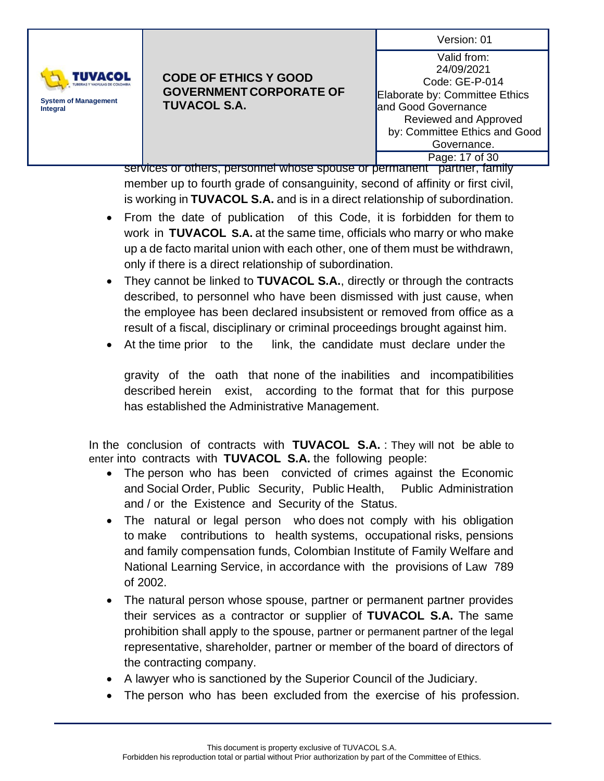

# **CODE OF ETHICS Y GOOD GOVERNMENT CORPORATE OF TUVACOL S.A.**

Valid from: 24/09/2021 Code: GE-P-014 Elaborate by: Committee Ethics and Good Governance Reviewed and Approved by: Committee Ethics and Good Governance. Page: 17 of 30

services or others, personnel whose spouse or permanent partner, family member up to fourth grade of consanguinity, second of affinity or first civil, is working in **TUVACOL S.A.** and is in a direct relationship of subordination.

- From the date of publication of this Code, it is forbidden for them to work in **TUVACOL S.A.** at the same time, officials who marry or who make up a de facto marital union with each other, one of them must be withdrawn, only if there is a direct relationship of subordination.
- They cannot be linked to **TUVACOL S.A.**, directly or through the contracts described, to personnel who have been dismissed with just cause, when the employee has been declared insubsistent or removed from office as a result of a fiscal, disciplinary or criminal proceedings brought against him.
- At the time prior to the link, the candidate must declare under the

gravity of the oath that none of the inabilities and incompatibilities described herein exist, according to the format that for this purpose has established the Administrative Management.

In the conclusion of contracts with **TUVACOL S.A.** : They will not be able to enter into contracts with **TUVACOL S.A.** the following people:

- The person who has been convicted of crimes against the Economic and Social Order, Public Security, Public Health, Public Administration and / or the Existence and Security of the Status.
- The natural or legal person who does not comply with his obligation to make contributions to health systems, occupational risks, pensions and family compensation funds, Colombian Institute of Family Welfare and National Learning Service, in accordance with the provisions of Law 789 of 2002.
- The natural person whose spouse, partner or permanent partner provides their services as a contractor or supplier of **TUVACOL S.A.** The same prohibition shall apply to the spouse, partner or permanent partner of the legal representative, shareholder, partner or member of the board of directors of the contracting company.
- A lawyer who is sanctioned by the Superior Council of the Judiciary.
- The person who has been excluded from the exercise of his profession.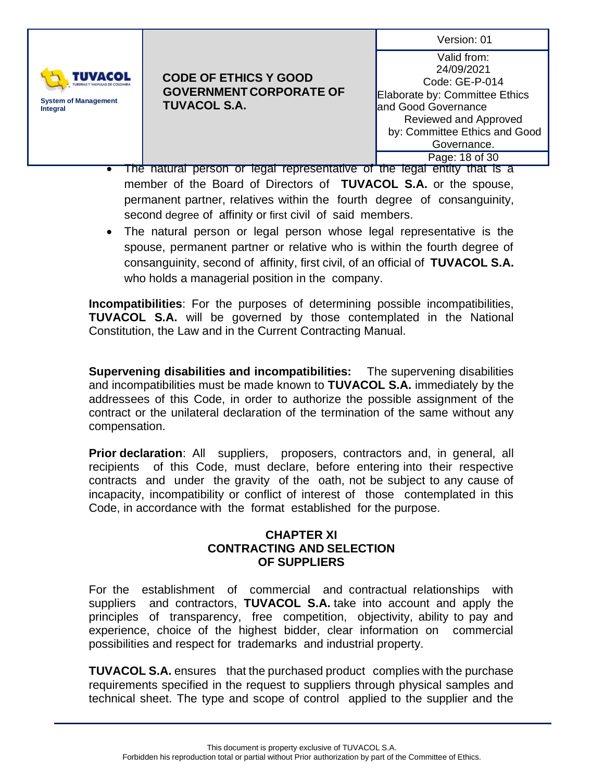

#### **CODE OF ETHICS Y GOOD GOVERNMENT CORPORATE OF TUVACOL S.A.**

Valid from: 24/09/2021 Code: GE-P-014 Elaborate by: Committee Ethics and Good Governance Reviewed and Approved by: Committee Ethics and Good Governance. Page: 18 of 30

- The natural person or legal representative of the legal entity that is a member of the Board of Directors of **TUVACOL S.A.** or the spouse, permanent partner, relatives within the fourth degree of consanguinity, second degree of affinity or first civil of said members.
- The natural person or legal person whose legal representative is the spouse, permanent partner or relative who is within the fourth degree of consanguinity, second of affinity, first civil, of an official of **TUVACOL S.A.** who holds a managerial position in the company.

**Incompatibilities**: For the purposes of determining possible incompatibilities, **TUVACOL S.A.** will be governed by those contemplated in the National Constitution, the Law and in the Current Contracting Manual.

**Supervening disabilities and incompatibilities:** The supervening disabilities and incompatibilities must be made known to **TUVACOL S.A.** immediately by the addressees of this Code, in order to authorize the possible assignment of the contract or the unilateral declaration of the termination of the same without any compensation.

**Prior declaration**: All suppliers, proposers, contractors and, in general, all recipients of this Code, must declare, before entering into their respective contracts and under the gravity of the oath, not be subject to any cause of incapacity, incompatibility or conflict of interest of those contemplated in this Code, in accordance with the format established for the purpose.

### **CHAPTER XI CONTRACTING AND SELECTION OF SUPPLIERS**

For the establishment of commercial and contractual relationships with suppliers and contractors, **TUVACOL S.A.** take into account and apply the principles of transparency, free competition, objectivity, ability to pay and experience, choice of the highest bidder, clear information on commercial possibilities and respect for trademarks and industrial property.

**TUVACOL S.A.** ensures that the purchased product complies with the purchase requirements specified in the request to suppliers through physical samples and technical sheet. The type and scope of control applied to the supplier and the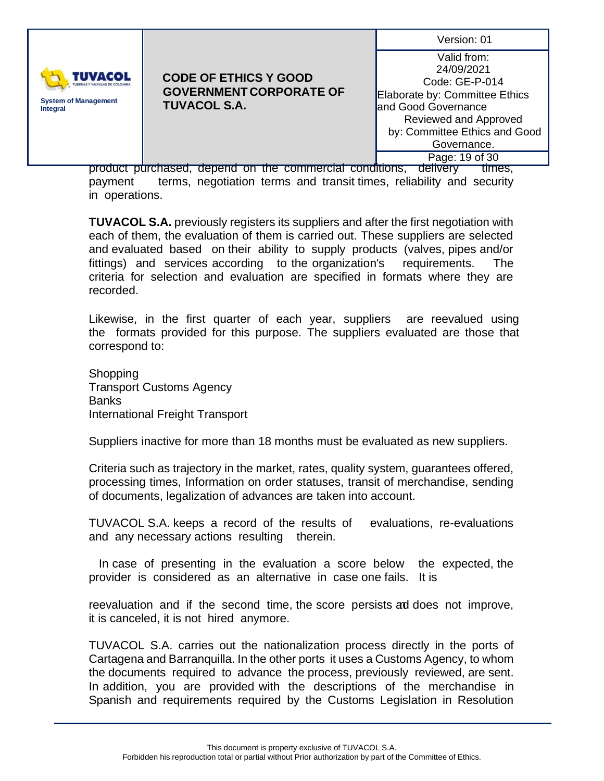| Version: 01 |  |
|-------------|--|
|             |  |



Valid from: 24/09/2021 Code: GE-P-014 Elaborate by: Committee Ethics and Good Governance Reviewed and Approved by: Committee Ethics and Good Governance. Page: 19 of 30

product purchased, depend on the commercial conditions, delivery times, payment terms, negotiation terms and transit times, reliability and security in operations.

**TUVACOL S.A.** previously registers its suppliers and after the first negotiation with each of them, the evaluation of them is carried out. These suppliers are selected and evaluated based on their ability to supply products (valves, pipes and/or fittings) and services according to the organization's requirements. The criteria for selection and evaluation are specified in formats where they are recorded.

Likewise, in the first quarter of each year, suppliers are reevalued using the formats provided for this purpose. The suppliers evaluated are those that correspond to:

Shopping Transport Customs Agency **Banks** International Freight Transport

Suppliers inactive for more than 18 months must be evaluated as new suppliers.

Criteria such as trajectory in the market, rates, quality system, guarantees offered, processing times, Information on order statuses, transit of merchandise, sending of documents, legalization of advances are taken into account.

TUVACOL S.A. keeps a record of the results of evaluations, re-evaluations and any necessary actions resulting therein.

 In case of presenting in the evaluation a score below the expected, the provider is considered as an alternative in case one fails. It is

reevaluation and if the second time, the score persists ad does not improve, it is canceled, it is not hired anymore.

TUVACOL S.A. carries out the nationalization process directly in the ports of Cartagena and Barranquilla. In the other ports it uses a Customs Agency, to whom the documents required to advance the process, previously reviewed, are sent. In addition, you are provided with the descriptions of the merchandise in Spanish and requirements required by the Customs Legislation in Resolution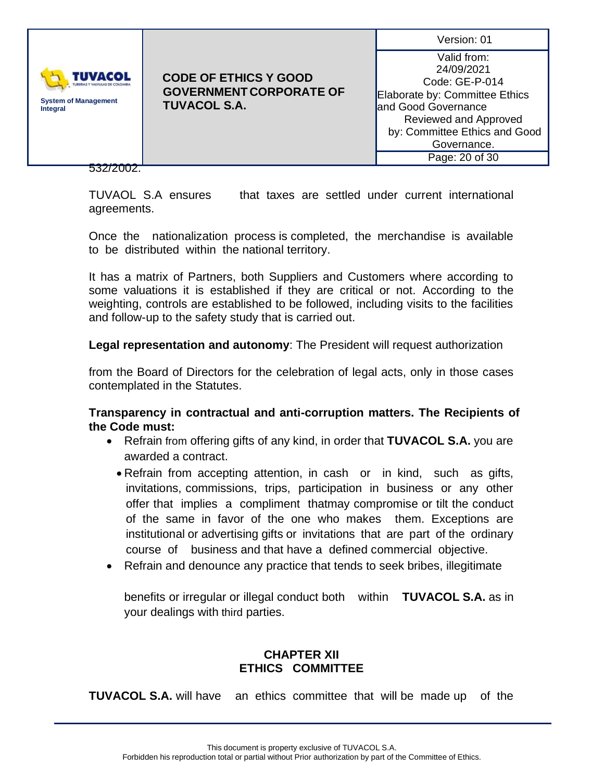| <b>IUVACOL</b><br><b>System of Management</b><br>Integral | <b>CODE OF ETHICS Y GOOD</b><br><b>GOVERNMENT CORPORATE OF</b><br><b>TUVACOL S.A.</b> | Version: 01<br>Valid from:<br>24/09/2021<br>Code: GE-P-014<br>Elaborate by: Committee Ethics<br>land Good Governance |
|-----------------------------------------------------------|---------------------------------------------------------------------------------------|----------------------------------------------------------------------------------------------------------------------|
|                                                           |                                                                                       | Reviewed and Approved<br>by: Committee Ethics and Good<br>Governance.<br>Page: 20 of 30                              |
|                                                           |                                                                                       |                                                                                                                      |

TUVAOL S.A ensures that taxes are settled under current international agreements.

Once the nationalization process is completed, the merchandise is available to be distributed within the national territory.

It has a matrix of Partners, both Suppliers and Customers where according to some valuations it is established if they are critical or not. According to the weighting, controls are established to be followed, including visits to the facilities and follow-up to the safety study that is carried out.

**Legal representation and autonomy**: The President will request authorization

from the Board of Directors for the celebration of legal acts, only in those cases contemplated in the Statutes.

**Transparency in contractual and anti-corruption matters. The Recipients of the Code must:**

- Refrain from offering gifts of any kind, in order that **TUVACOL S.A.** you are awarded a contract.
	- Refrain from accepting attention, in cash or in kind, such as gifts, invitations, commissions, trips, participation in business or any other offer that implies a compliment thatmay compromise or tilt the conduct of the same in favor of the one who makes them. Exceptions are institutional or advertising gifts or invitations that are part of the ordinary course of business and that have a defined commercial objective.
- Refrain and denounce any practice that tends to seek bribes, illegitimate

benefits or irregular or illegal conduct both within **TUVACOL S.A.** as in your dealings with third parties.

# **CHAPTER XII ETHICS COMMITTEE**

**TUVACOL S.A.** will have an ethics committee that will be made up of the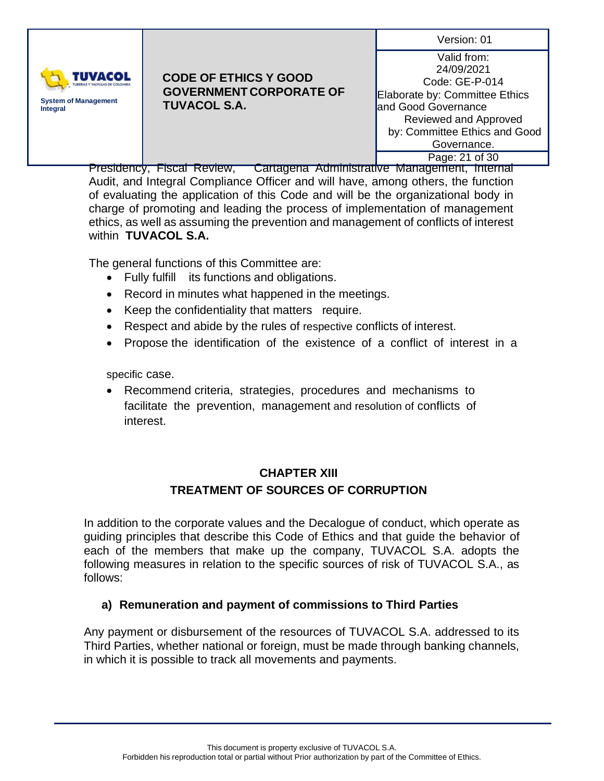

# **CODE OF ETHICS Y GOOD GOVERNMENT CORPORATE OF TUVACOL S.A.**

Valid from: 24/09/2021 Code: GE-P-014 Elaborate by: Committee Ethics and Good Governance Reviewed and Approved by: Committee Ethics and Good Governance. Page: 21 of 30

Presidency, Fiscal Review, Cartagena Administrative Management, Internal Audit, and Integral Compliance Officer and will have, among others, the function of evaluating the application of this Code and will be the organizational body in charge of promoting and leading the process of implementation of management ethics, as well as assuming the prevention and management of conflicts of interest within **TUVACOL S.A.**

The general functions of this Committee are:

- Fully fulfill its functions and obligations.
- Record in minutes what happened in the meetings.
- Keep the confidentiality that matters require.
- Respect and abide by the rules of respective conflicts of interest.
- Propose the identification of the existence of a conflict of interest in a

specific case.

• Recommend criteria, strategies, procedures and mechanisms to facilitate the prevention, management and resolution of conflicts of interest.

# **CHAPTER XIII TREATMENT OF SOURCES OF CORRUPTION**

In addition to the corporate values and the Decalogue of conduct, which operate as guiding principles that describe this Code of Ethics and that guide the behavior of each of the members that make up the company, TUVACOL S.A. adopts the following measures in relation to the specific sources of risk of TUVACOL S.A., as follows:

# **a) Remuneration and payment of commissions to Third Parties**

Any payment or disbursement of the resources of TUVACOL S.A. addressed to its Third Parties, whether national or foreign, must be made through banking channels, in which it is possible to track all movements and payments.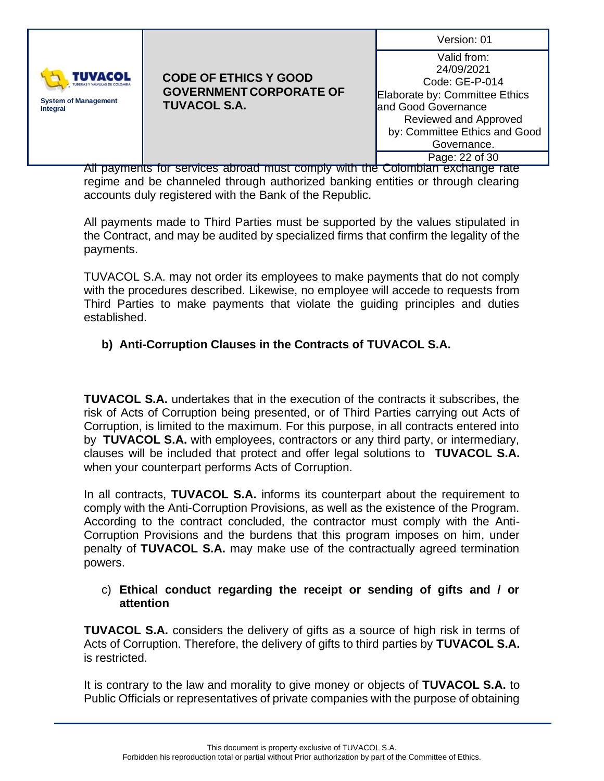

### **CODE OF ETHICS Y GOOD GOVERNMENT CORPORATE OF TUVACOL S.A.**

Valid from: 24/09/2021 Code: GE-P-014 Elaborate by: Committee Ethics and Good Governance Reviewed and Approved by: Committee Ethics and Good Governance. Page: 22 of 30

All payments for services abroad must comply with the Colombian exchange rate regime and be channeled through authorized banking entities or through clearing accounts duly registered with the Bank of the Republic.

All payments made to Third Parties must be supported by the values stipulated in the Contract, and may be audited by specialized firms that confirm the legality of the payments.

TUVACOL S.A. may not order its employees to make payments that do not comply with the procedures described. Likewise, no employee will accede to requests from Third Parties to make payments that violate the guiding principles and duties established.

# **b) Anti-Corruption Clauses in the Contracts of TUVACOL S.A.**

**TUVACOL S.A.** undertakes that in the execution of the contracts it subscribes, the risk of Acts of Corruption being presented, or of Third Parties carrying out Acts of Corruption, is limited to the maximum. For this purpose, in all contracts entered into by **TUVACOL S.A.** with employees, contractors or any third party, or intermediary, clauses will be included that protect and offer legal solutions to **TUVACOL S.A.** when your counterpart performs Acts of Corruption.

In all contracts, **TUVACOL S.A.** informs its counterpart about the requirement to comply with the Anti-Corruption Provisions, as well as the existence of the Program. According to the contract concluded, the contractor must comply with the Anti-Corruption Provisions and the burdens that this program imposes on him, under penalty of **TUVACOL S.A.** may make use of the contractually agreed termination powers.

### c) **Ethical conduct regarding the receipt or sending of gifts and / or attention**

**TUVACOL S.A.** considers the delivery of gifts as a source of high risk in terms of Acts of Corruption. Therefore, the delivery of gifts to third parties by **TUVACOL S.A.** is restricted.

It is contrary to the law and morality to give money or objects of **TUVACOL S.A.** to Public Officials or representatives of private companies with the purpose of obtaining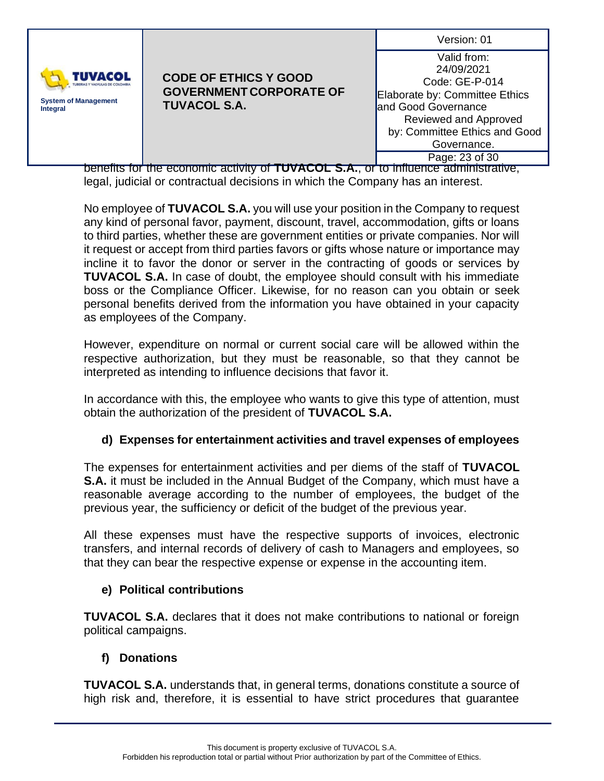| Version: 01 |  |
|-------------|--|
|             |  |



Valid from: 24/09/2021 Code: GE-P-014 Elaborate by: Committee Ethics and Good Governance Reviewed and Approved by: Committee Ethics and Good Governance. Page: 23 of 30

benefits for the economic activity of **TUVACOL S.A.**, or to influence administrative, legal, judicial or contractual decisions in which the Company has an interest.

No employee of **TUVACOL S.A.** you will use your position in the Company to request any kind of personal favor, payment, discount, travel, accommodation, gifts or loans to third parties, whether these are government entities or private companies. Nor will it request or accept from third parties favors or gifts whose nature or importance may incline it to favor the donor or server in the contracting of goods or services by **TUVACOL S.A.** In case of doubt, the employee should consult with his immediate boss or the Compliance Officer. Likewise, for no reason can you obtain or seek personal benefits derived from the information you have obtained in your capacity as employees of the Company.

However, expenditure on normal or current social care will be allowed within the respective authorization, but they must be reasonable, so that they cannot be interpreted as intending to influence decisions that favor it.

In accordance with this, the employee who wants to give this type of attention, must obtain the authorization of the president of **TUVACOL S.A.**

# **d) Expenses for entertainment activities and travel expenses of employees**

The expenses for entertainment activities and per diems of the staff of **TUVACOL S.A.** it must be included in the Annual Budget of the Company, which must have a reasonable average according to the number of employees, the budget of the previous year, the sufficiency or deficit of the budget of the previous year.

All these expenses must have the respective supports of invoices, electronic transfers, and internal records of delivery of cash to Managers and employees, so that they can bear the respective expense or expense in the accounting item.

# **e) Political contributions**

**TUVACOL S.A.** declares that it does not make contributions to national or foreign political campaigns.

# **f) Donations**

**TUVACOL S.A.** understands that, in general terms, donations constitute a source of high risk and, therefore, it is essential to have strict procedures that guarantee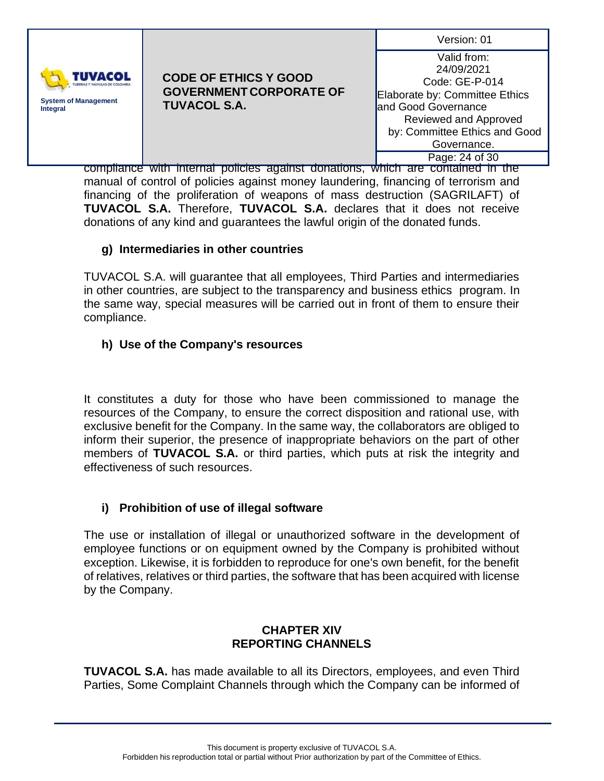| Version: 01 |  |
|-------------|--|
|-------------|--|



Valid from: 24/09/2021 Code: GE-P-014 Elaborate by: Committee Ethics and Good Governance Reviewed and Approved by: Committee Ethics and Good Governance. Page: 24 of 30

compliance with internal policies against donations, which are contained in the manual of control of policies against money laundering, financing of terrorism and financing of the proliferation of weapons of mass destruction (SAGRILAFT) of **TUVACOL S.A.** Therefore, **TUVACOL S.A.** declares that it does not receive donations of any kind and guarantees the lawful origin of the donated funds.

# **g) Intermediaries in other countries**

TUVACOL S.A. will guarantee that all employees, Third Parties and intermediaries in other countries, are subject to the transparency and business ethics program. In the same way, special measures will be carried out in front of them to ensure their compliance.

# **h) Use of the Company's resources**

It constitutes a duty for those who have been commissioned to manage the resources of the Company, to ensure the correct disposition and rational use, with exclusive benefit for the Company. In the same way, the collaborators are obliged to inform their superior, the presence of inappropriate behaviors on the part of other members of **TUVACOL S.A.** or third parties, which puts at risk the integrity and effectiveness of such resources.

# **i) Prohibition of use of illegal software**

The use or installation of illegal or unauthorized software in the development of employee functions or on equipment owned by the Company is prohibited without exception. Likewise, it is forbidden to reproduce for one's own benefit, for the benefit of relatives, relatives or third parties, the software that has been acquired with license by the Company.

# **CHAPTER XIV REPORTING CHANNELS**

**TUVACOL S.A.** has made available to all its Directors, employees, and even Third Parties, Some Complaint Channels through which the Company can be informed of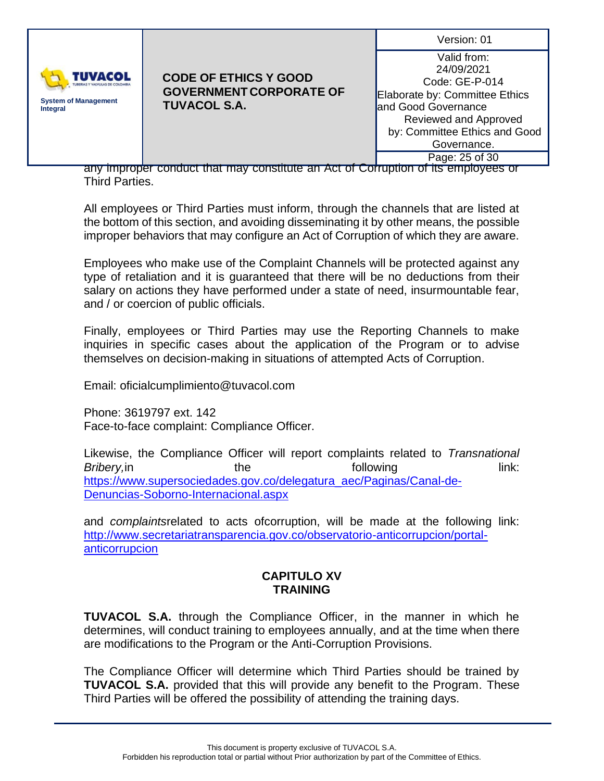| Version: 01 |  |
|-------------|--|
|             |  |



Valid from: 24/09/2021 Code: GE-P-014 Elaborate by: Committee Ethics and Good Governance Reviewed and Approved by: Committee Ethics and Good Governance. Page: 25 of 30

any improper conduct that may constitute an Act of Corruption of its employees or Third Parties.

All employees or Third Parties must inform, through the channels that are listed at the bottom of this section, and avoiding disseminating it by other means, the possible improper behaviors that may configure an Act of Corruption of which they are aware.

Employees who make use of the Complaint Channels will be protected against any type of retaliation and it is guaranteed that there will be no deductions from their salary on actions they have performed under a state of need, insurmountable fear, and / or coercion of public officials.

Finally, employees or Third Parties may use the Reporting Channels to make inquiries in specific cases about the application of the Program or to advise themselves on decision-making in situations of attempted Acts of Corruption.

Email: oficialcumplimiento@tuvacol.com

Phone: 3619797 ext. 142 Face-to-face complaint: Compliance Officer.

Likewise, the Compliance Officer will report complaints related to *Transnational*  **Bribery,in** the the following link: [https://www.supersociedades.gov.co/delegatura\\_aec/Paginas/Canal-de-](https://www.supersociedades.gov.co/delegatura_aec/Paginas/Canal-de-Denuncias-Soborno-Internacional.aspx)[Denuncias-Soborno-Internacional.aspx](https://www.supersociedades.gov.co/delegatura_aec/Paginas/Canal-de-Denuncias-Soborno-Internacional.aspx)

and *complaints*related to acts ofcorruption, will be made at the following link: [http://www.secretariatransparencia.gov.co/observatorio-anticorrupcion/portal](http://www.secretariatransparencia.gov.co/observatorio-anticorrupcion/portal-anticorrupcion)[anticorrupcion](http://www.secretariatransparencia.gov.co/observatorio-anticorrupcion/portal-anticorrupcion)

# **CAPITULO XV TRAINING**

**TUVACOL S.A.** through the Compliance Officer, in the manner in which he determines, will conduct training to employees annually, and at the time when there are modifications to the Program or the Anti-Corruption Provisions.

The Compliance Officer will determine which Third Parties should be trained by **TUVACOL S.A.** provided that this will provide any benefit to the Program. These Third Parties will be offered the possibility of attending the training days.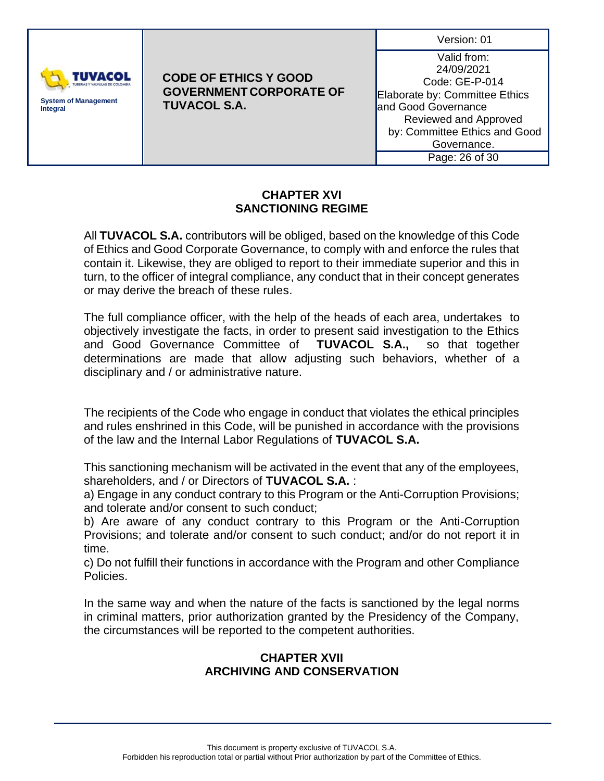

# **CODE OF ETHICS Y GOOD GOVERNMENT CORPORATE OF TUVACOL S.A.**

Valid from: 24/09/2021 Code: GE-P-014 Elaborate by: Committee Ethics and Good Governance Reviewed and Approved by: Committee Ethics and Good Governance. Page: 26 of 30

# **CHAPTER XVI SANCTIONING REGIME**

All **TUVACOL S.A.** contributors will be obliged, based on the knowledge of this Code of Ethics and Good Corporate Governance, to comply with and enforce the rules that contain it. Likewise, they are obliged to report to their immediate superior and this in turn, to the officer of integral compliance, any conduct that in their concept generates or may derive the breach of these rules.

The full compliance officer, with the help of the heads of each area, undertakes to objectively investigate the facts, in order to present said investigation to the Ethics and Good Governance Committee of **TUVACOL S.A.,** so that together determinations are made that allow adjusting such behaviors, whether of a disciplinary and / or administrative nature.

The recipients of the Code who engage in conduct that violates the ethical principles and rules enshrined in this Code, will be punished in accordance with the provisions of the law and the Internal Labor Regulations of **TUVACOL S.A.**

This sanctioning mechanism will be activated in the event that any of the employees, shareholders, and / or Directors of **TUVACOL S.A.** :

a) Engage in any conduct contrary to this Program or the Anti-Corruption Provisions; and tolerate and/or consent to such conduct;

b) Are aware of any conduct contrary to this Program or the Anti-Corruption Provisions; and tolerate and/or consent to such conduct; and/or do not report it in time.

c) Do not fulfill their functions in accordance with the Program and other Compliance Policies.

In the same way and when the nature of the facts is sanctioned by the legal norms in criminal matters, prior authorization granted by the Presidency of the Company, the circumstances will be reported to the competent authorities.

# **CHAPTER XVII ARCHIVING AND CONSERVATION**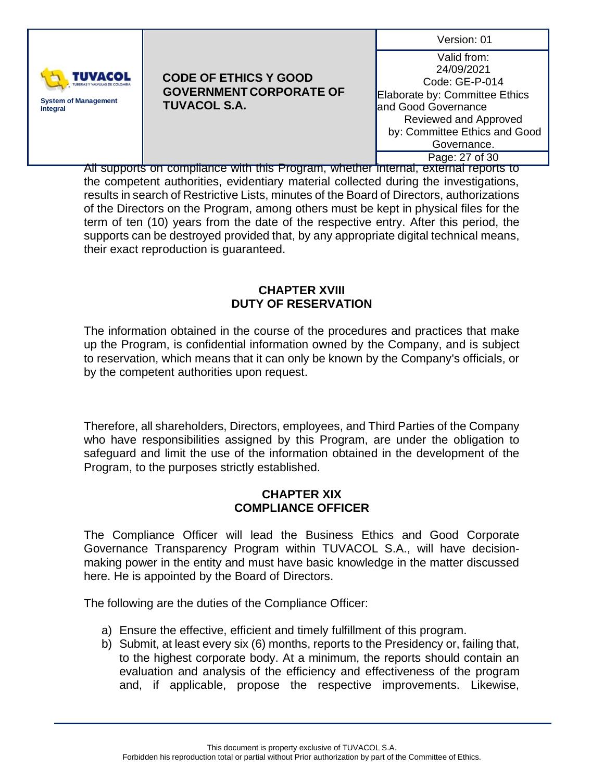

### **CODE OF ETHICS Y GOOD GOVERNMENT CORPORATE OF TUVACOL S.A.**

Valid from: 24/09/2021 Code: GE-P-014 Elaborate by: Committee Ethics and Good Governance Reviewed and Approved by: Committee Ethics and Good Governance. Page: 27 of 30

All supports on compliance with this Program, whether internal, external reports to the competent authorities, evidentiary material collected during the investigations, results in search of Restrictive Lists, minutes of the Board of Directors, authorizations of the Directors on the Program, among others must be kept in physical files for the term of ten (10) years from the date of the respective entry. After this period, the supports can be destroyed provided that, by any appropriate digital technical means, their exact reproduction is guaranteed.

## **CHAPTER XVIII DUTY OF RESERVATION**

The information obtained in the course of the procedures and practices that make up the Program, is confidential information owned by the Company, and is subject to reservation, which means that it can only be known by the Company's officials, or by the competent authorities upon request.

Therefore, all shareholders, Directors, employees, and Third Parties of the Company who have responsibilities assigned by this Program, are under the obligation to safeguard and limit the use of the information obtained in the development of the Program, to the purposes strictly established.

# **CHAPTER XIX COMPLIANCE OFFICER**

The Compliance Officer will lead the Business Ethics and Good Corporate Governance Transparency Program within TUVACOL S.A., will have decisionmaking power in the entity and must have basic knowledge in the matter discussed here. He is appointed by the Board of Directors.

The following are the duties of the Compliance Officer:

- a) Ensure the effective, efficient and timely fulfillment of this program.
- b) Submit, at least every six (6) months, reports to the Presidency or, failing that, to the highest corporate body. At a minimum, the reports should contain an evaluation and analysis of the efficiency and effectiveness of the program and, if applicable, propose the respective improvements. Likewise,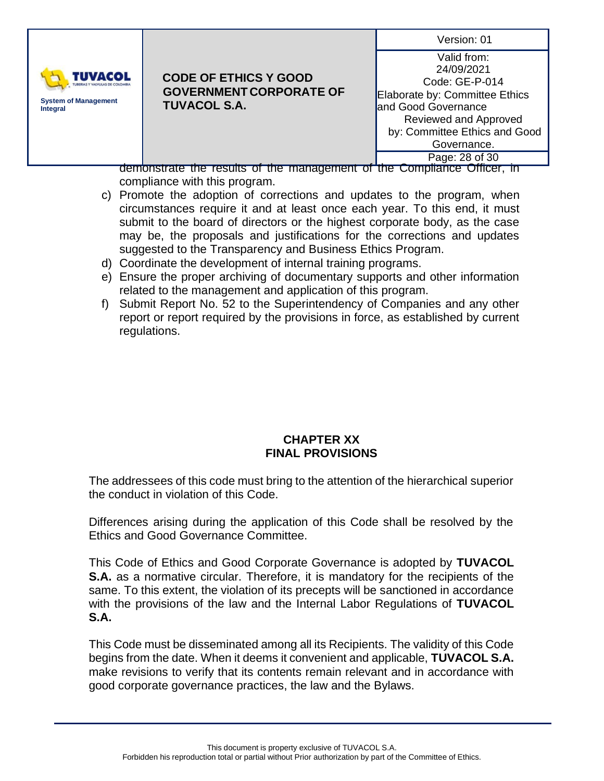| Version: 01 |  |
|-------------|--|
|             |  |



| Valid from:                    |
|--------------------------------|
| 24/09/2021                     |
| Code: GE-P-014                 |
| Elaborate by: Committee Ethics |
| and Good Governance            |
| Reviewed and Approved          |
| by: Committee Ethics and Good  |
| Governance.                    |
| Page: 28 of 30                 |

demonstrate the results of the management of the Compliance Officer, in compliance with this program.

- c) Promote the adoption of corrections and updates to the program, when circumstances require it and at least once each year. To this end, it must submit to the board of directors or the highest corporate body, as the case may be, the proposals and justifications for the corrections and updates suggested to the Transparency and Business Ethics Program.
- d) Coordinate the development of internal training programs.
- e) Ensure the proper archiving of documentary supports and other information related to the management and application of this program.
- f) Submit Report No. 52 to the Superintendency of Companies and any other report or report required by the provisions in force, as established by current regulations.

### **CHAPTER XX FINAL PROVISIONS**

The addressees of this code must bring to the attention of the hierarchical superior the conduct in violation of this Code.

Differences arising during the application of this Code shall be resolved by the Ethics and Good Governance Committee.

This Code of Ethics and Good Corporate Governance is adopted by **TUVACOL S.A.** as a normative circular. Therefore, it is mandatory for the recipients of the same. To this extent, the violation of its precepts will be sanctioned in accordance with the provisions of the law and the Internal Labor Regulations of **TUVACOL S.A.**

This Code must be disseminated among all its Recipients. The validity of this Code begins from the date. When it deems it convenient and applicable, **TUVACOL S.A.** make revisions to verify that its contents remain relevant and in accordance with good corporate governance practices, the law and the Bylaws.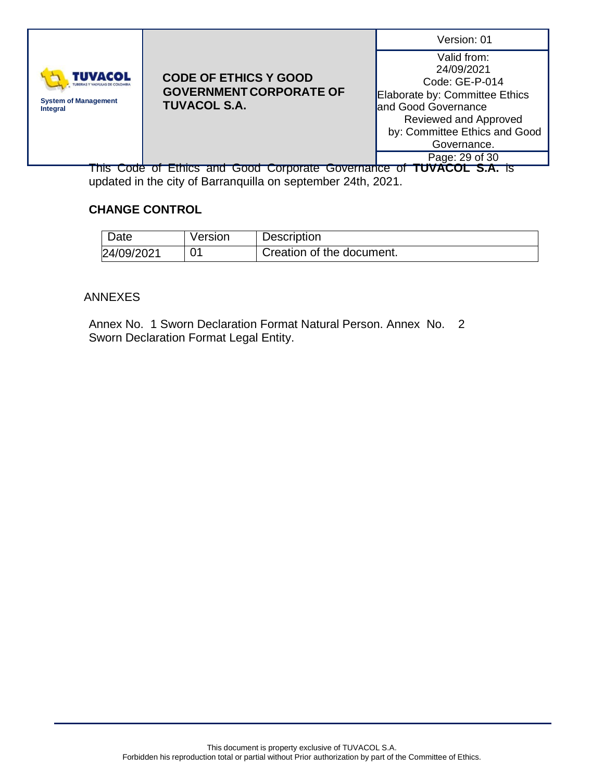| Version: 01 |  |
|-------------|--|
|             |  |



| Valid from:                    |
|--------------------------------|
| 24/09/2021                     |
| Code: GE-P-014                 |
| Elaborate by: Committee Ethics |
| and Good Governance            |
| Reviewed and Approved          |
| by: Committee Ethics and Good  |
| Governance.                    |
| Page: 29 of 30                 |

This Code of Ethics and Good Corporate Governance of **TUVACOL S.A.** is updated in the city of Barranquilla on september 24th, 2021.

# **CHANGE CONTROL**

| Date       | Version | <b>Description</b>        |
|------------|---------|---------------------------|
| 24/09/2021 | 01      | Creation of the document. |

# ANNEXES

Annex No. 1 Sworn Declaration Format Natural Person. Annex No. 2 Sworn Declaration Format Legal Entity.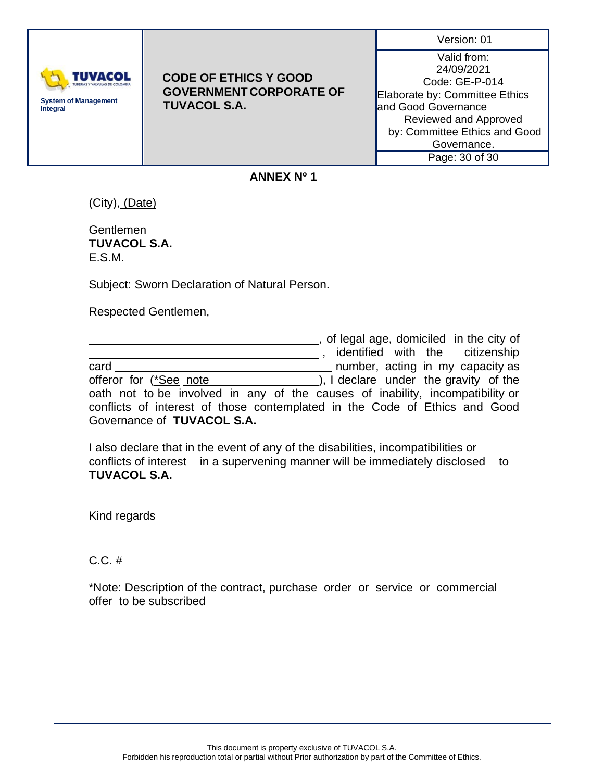| Version: 01 |  |
|-------------|--|
|             |  |
|             |  |



Valid from: 24/09/2021 Code: GE-P-014 Elaborate by: Committee Ethics and Good Governance Reviewed and Approved by: Committee Ethics and Good Governance. Page: 30 of 30

#### **ANNEX Nº 1**

(City), (Date)

Gentlemen **TUVACOL S.A.** E.S.M.

Subject: Sworn Declaration of Natural Person.

Respected Gentlemen,

|                                                                               | , of legal age, domiciled in the city of |
|-------------------------------------------------------------------------------|------------------------------------------|
|                                                                               | identified with the citizenship          |
| card                                                                          | number, acting in my capacity as         |
| offeror for (*See note                                                        | ), I declare under the gravity of the    |
| oath not to be involved in any of the causes of inability, incompatibility or |                                          |
| conflicts of interest of those contemplated in the Code of Ethics and Good    |                                          |
| Governance of TUVACOL S.A.                                                    |                                          |

I also declare that in the event of any of the disabilities, incompatibilities or conflicts of interest in a supervening manner will be immediately disclosed to **TUVACOL S.A.**

Kind regards

C.C. #

\*Note: Description of the contract, purchase order or service or commercial offer to be subscribed